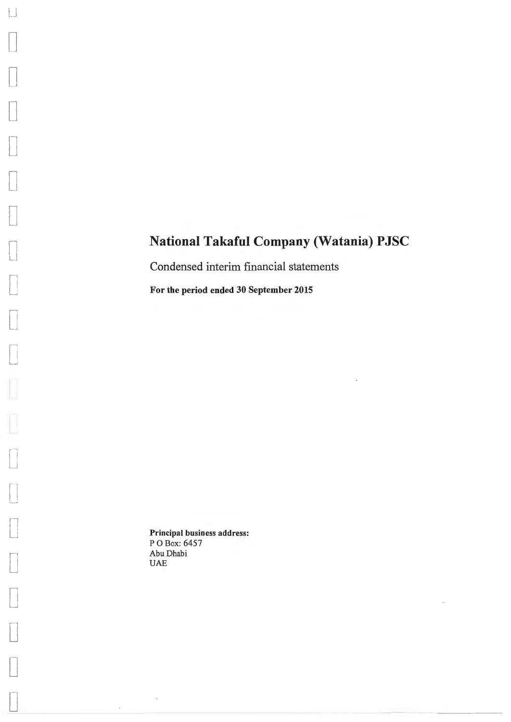Condensed interim financial statements

For the period ended 30 September 2015

Principal business address: P 0 Box: 6457 Abu Dhabi UAE

 $\overline{\phantom{a}}$ 

 $\cdot$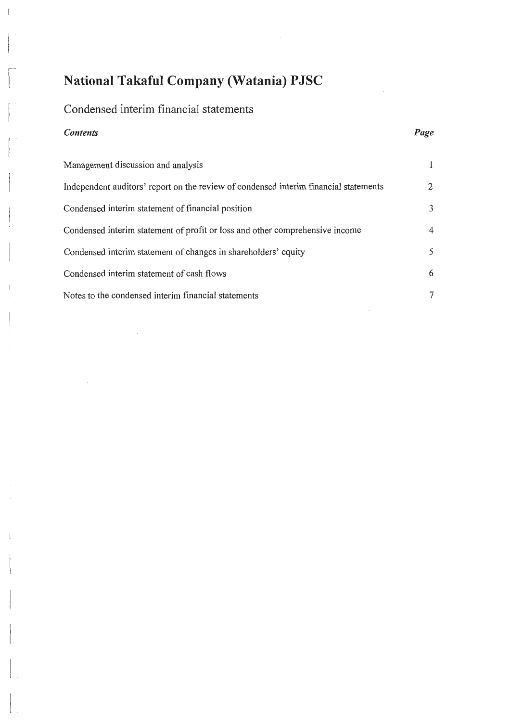## Condensed interim financial statements

### *Contents*

 $\begin{bmatrix} \phantom{-} \\ \phantom{-} \\ \phantom{-} \end{bmatrix}$ 

L

 $\begin{array}{c} \begin{array}{ccc} \begin{array}{ccc} \end{array} & \end{array} & \begin{array}{ccc} \end{array} & \begin{array}{ccc} \end{array} & \end{array} \end{array}$ 

 $\begin{bmatrix} \phantom{-} \\ \phantom{-} \end{bmatrix}$ 

 $\left\lfloor \frac{1}{2} \right\rfloor$ 

 $\begin{bmatrix} 1 & 1 & 1 \\ 1 & 1 & 1 \\ 1 & 1 & 1 \end{bmatrix}$ 

| Management discussion and analysis                                                   | 1 |
|--------------------------------------------------------------------------------------|---|
| Independent auditors' report on the review of condensed interim financial statements | 2 |
| Condensed interim statement of financial position                                    | 3 |
| Condensed interim statement of profit or loss and other comprehensive income         | 4 |
| Condensed interim statement of changes in shareholders' equity                       | 5 |
| Condensed interim statement of cash flows                                            | 6 |
| Notes to the condensed interim financial statements                                  | 7 |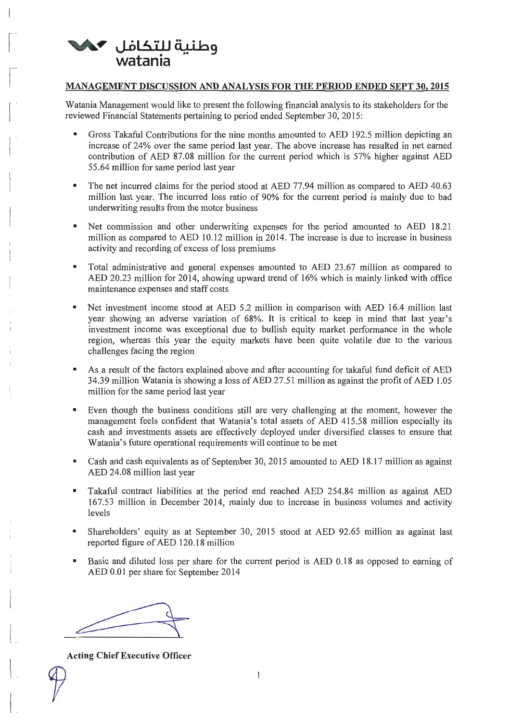

 $\vert$ 

 $\begin{bmatrix} 1 & 1 \\ 1 & 1 \end{bmatrix}$ 

 $\sqrt{2}$ 

 $\begin{bmatrix} 1 & 1 \\ 1 & 1 \end{bmatrix}$ 

 $\begin{bmatrix} 1 & 1 \\ 1 & 1 \end{bmatrix}$ 

 $\begin{bmatrix} 1 & 1 \\ 1 & 1 \end{bmatrix}$ 

l~

 $\frac{1}{2}$ 

 $\mathbb{L}$ 

 $\overline{\mathbf{u}}$ 

 $\left( \begin{array}{cc} 0 & 0 \\ 0 & 0 \end{array} \right)$ 

 $\begin{bmatrix} 1 & 0 & 0 \\ 0 & 0 & 0 \\ 0 & 0 & 0 \\ 0 & 0 & 0 \\ 0 & 0 & 0 \\ 0 & 0 & 0 \\ 0 & 0 & 0 \\ 0 & 0 & 0 \\ 0 & 0 & 0 \\ 0 & 0 & 0 \\ 0 & 0 & 0 \\ 0 & 0 & 0 \\ 0 & 0 & 0 \\ 0 & 0 & 0 & 0 \\ 0 & 0 & 0 & 0 \\ 0 & 0 & 0 & 0 \\ 0 & 0 & 0 & 0 & 0 \\ 0 & 0 & 0 & 0 & 0 \\ 0 & 0 & 0 & 0 & 0 \\ 0 & 0 & 0 & 0 & 0 \\$ 

 $\begin{bmatrix} 1 & 1 \\ 1 & 1 \end{bmatrix}$ 

### MANAGEMENT DISCUSSION AND ANALYSIS FOR THE PERIOD ENDED SEPT 30, 2015

Watania Management would like to present the following financial analysis to its stakeholders for the reviewed Financial Statements pertaining to period ended September 30, 2015:

- Gross Takaful Contributions for the nine months amounted to AED 192.5 million depicting an increase of 24% over the same period last year. The above increase has resulted in net earned contribution of AED 87.08 million for the current period which is 57% higher against AED 55.64 million for same period last year
- The net incurred claims for the period stood at AED 77.94 million as compared to AED 40.63 million last year. The incurred loss ratio of 90% for the current period is mainly due to bad underwriting results from the motor business
- Net commission and other underwriting expenses for the period amounted to AED 18.21 million as compared to AED 10.12 million in 2014. The increase is due to increase in business activity and recording of excess of loss premiums
- Total administrative and general expenses amounted to AED 23.67 million as compared to AED 20.23 million for 2014, showing upward trend of 16% which is mainly linked with office maintenance expenses and staff costs
- Net investment income stood at AED 5.2 million in comparison with AED 16.4 million last year showing an adverse variation of 68%. It is critical to keep in mind that last year's investment income was exceptional due to bullish equity market performance in the whole region, whereas this year the equity markets have been quite volatile due to the various challenges facing the region
- As a result of the factors explained above and after accounting for takaful fund deficit of AED 34.39 million Watania is showing a loss of AED 27.51 million as against the profit of AED 1.05 million for the same period last year
- Even though the business conditions still are very challenging at the moment, however the management feels confident that Watania's total assets of AED 415.58 million especially its cash and investments assets are effectively deployed under diversified classes to ensure that Watania's future operational requirements will continue to be met
- Cash and cash equivalents as of September 30, 2015 amounted to AED 18.17 million as against AED 24.08 million last year
- Takaful contract liabilities at the period end reached AED 254.84 million as against AED 167.53 million in December 2014, mainly due to increase in business volumes and activity levels
- Shareholders' equity as at September 30, 2015 stood at AED 92.65 million as against last reported figure of AED 120.18 million
- Basic and diluted loss per share for the current period is AED 0.18 as opposed to earning of AED 0.01 per share for September 2014

Acting Chief Executive Officer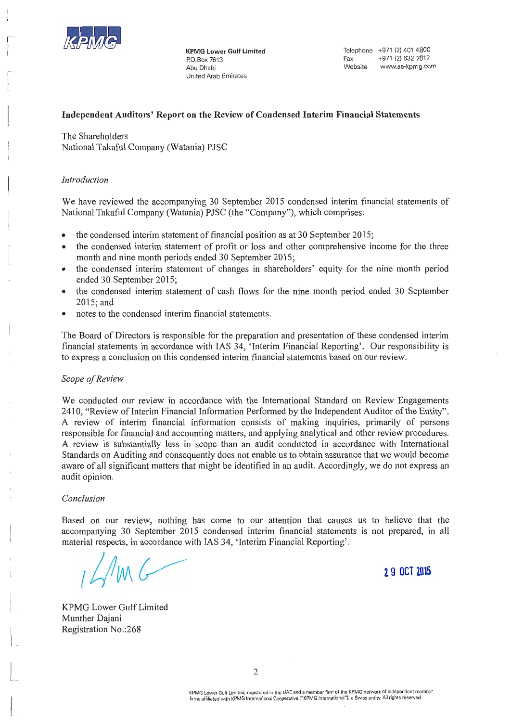

 $\mathbf{l}$ 

 $\sqrt{2}$ 

 $\begin{bmatrix} 1 \\ 1 \end{bmatrix}$ 

 $\begin{bmatrix} \phantom{-} & \phantom{-} \\ \phantom{-} & \phantom{-} \\ \phantom{-} & \phantom{-} \end{bmatrix}$ 

 $\begin{bmatrix} 1 \\ 1 \end{bmatrix}$ 

i<br>H

L

t<br>Lista

t<br>Linda<br>Linda

 $\begin{array}{ccc} \hline \end{array}$ 

 $\begin{bmatrix} 1 & 0 \\ 0 & 1 \end{bmatrix}$ 

 $\begin{bmatrix} 1 & 1 \\ 1 & 1 \end{bmatrix}$ 

 $\begin{bmatrix} 1 & 1 \\ 1 & 1 \end{bmatrix}$ 

I  $\frac{1}{L}$  KPMG Lower Gulf Limited P.O. Box 7613 Abu Dhabi United Arab Emirates

### Independent Auditors' Report on the Review of Condensed Interim Financial Statements

The Shareholders National Takaful Company (Watania) PJSC

### *Introduction*

We have reviewed the accompanying 30 September 2015 condensed interim financial statements of National Takaful Company (Watania) PJSC (the "Company"), which comprises:

- the condensed interim statement of financial position as at 30 September 2015;
- the condensed interim statement of profit or loss and other comprehensive income for the three month and nine month periods ended 30 September 2015;
- the condensed interim statement of changes in shareholders' equity for the nine month period ended 30 September 2015;
- the condensed interim statement of cash flows for the nine month period ended 30 September 2015;and
- notes to the condensed interim financial statements.

The Board of Directors is responsible for the preparation and presentation of these condensed interim financial statements in accordance with IAS 34, 'Interim Financial Reporting'. Our responsibility is to express a conclusion on this condensed interim financial statements based on our review.

### *Scope of Review*

We conducted our review in accordance with the International Standard on Review Engagements 2410, "Review oflnterim Financial Information Performed by the Independent Auditor of the Entity". A review of interim financial information consists of making inquiries, primarily of persons responsible for financial and accounting matters, and applying analytical and other review procedures. A review is substantially less in scope than an audit conducted in accordance with International Standards on Auditing and consequently does not enable us to obtain assurance that we would become aware of all significant matters that might be identified in an audit. Accordingly, we do not express an audit opinion.

### *Conclusion*

Based on our review, nothing has come to our attention that causes us to believe that the accompanying 30 September 2015 condensed interim financial statements is not prepared, in all material respects, in accordance with IAS 34, 'Interim Financial Reporting'.

2 9 OCT **ZlllS** 

KPMG Lower Gulf Limited Munther Dajani Registration No.:268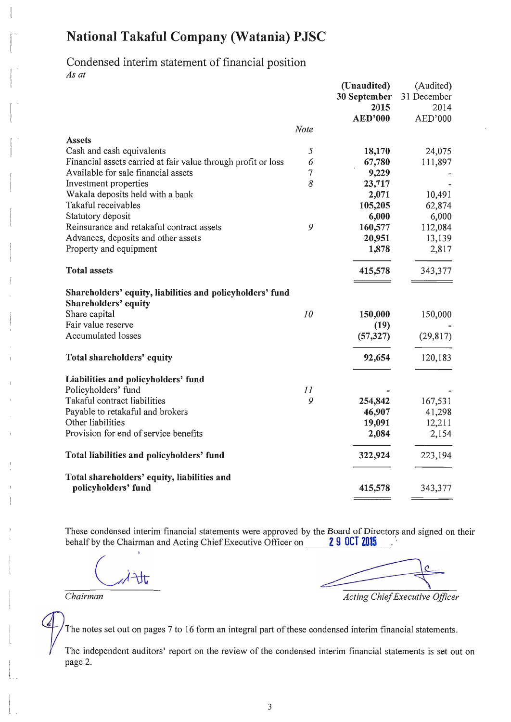### Condensed interim statement of financial position *As at*

 $\vert$ 

fl

 $\begin{bmatrix} 1 & 1 \\ 1 & 1 \end{bmatrix}$ 

 $\begin{bmatrix} 1 & 0 & 0 \\ 0 & 0 & 0 \\ 0 & 0 & 0 \\ 0 & 0 & 0 \\ 0 & 0 & 0 \\ 0 & 0 & 0 \\ 0 & 0 & 0 \\ 0 & 0 & 0 \\ 0 & 0 & 0 \\ 0 & 0 & 0 \\ 0 & 0 & 0 \\ 0 & 0 & 0 \\ 0 & 0 & 0 \\ 0 & 0 & 0 & 0 \\ 0 & 0 & 0 & 0 \\ 0 & 0 & 0 & 0 \\ 0 & 0 & 0 & 0 \\ 0 & 0 & 0 & 0 \\ 0 & 0 & 0 & 0 & 0 \\ 0 & 0 & 0 & 0 & 0 \\ 0 & 0 &$ 

 $\begin{pmatrix} 1 & 1 \\ 1 & 1 \end{pmatrix}$ 

 $\begin{bmatrix} 1 & 0 \\ 0 & 1 \end{bmatrix}$ 

 $\vert$ 

 $\begin{bmatrix} \phantom{-} \end{bmatrix}$ 

 $\left| \begin{array}{c} \hline \hline \hline \hline \hline \hline \end{array} \right|$ 

f<br>|<br>|

 $\frac{1}{2}$ 

r<br>|<br>|

 $\mathcal{L}$ 

 $\mathbb{R}$ 

 $\begin{array}{c} \begin{array}{ccc} \text{1} & \text{1} & \text{1} & \text{1} & \text{1} & \text{1} & \text{1} & \text{1} & \text{1} & \text{1} & \text{1} & \text{1} & \text{1} & \text{1} & \text{1} & \text{1} & \text{1} & \text{1} & \text{1} & \text{1} & \text{1} & \text{1} & \text{1} & \text{1} & \text{1} & \text{1} & \text{1} & \text{1} & \text{1} & \text{1} & \text{1} & \text{1} & \text{1} & \text{1} & \text$ 

 $\begin{bmatrix} \phantom{-} & \phantom{-} \\ \phantom{-} & \phantom{-} \end{bmatrix}$ 

|                                                                                   |      | (Unaudited)    | (Audited)   |
|-----------------------------------------------------------------------------------|------|----------------|-------------|
|                                                                                   |      | 30 September   | 31 December |
|                                                                                   |      | 2015           | 2014        |
|                                                                                   |      | <b>AED'000</b> | AED'000     |
|                                                                                   | Note |                |             |
| <b>Assets</b>                                                                     |      |                |             |
| Cash and cash equivalents                                                         | 5    | 18,170         | 24,075      |
| Financial assets carried at fair value through profit or loss                     | 6    | 67,780         | 111,897     |
| Available for sale financial assets                                               | 7    | 9,229          |             |
| Investment properties                                                             | 8    | 23,717         |             |
| Wakala deposits held with a bank                                                  |      | 2,071          | 10,491      |
| Takaful receivables                                                               |      | 105,205        | 62,874      |
| Statutory deposit                                                                 |      | 6,000          | 6,000       |
| Reinsurance and retakaful contract assets                                         | 9    | 160,577        | 112,084     |
| Advances, deposits and other assets                                               |      | 20,951         | 13,139      |
| Property and equipment                                                            |      | 1,878          | 2,817       |
| <b>Total assets</b>                                                               |      | 415,578        | 343,377     |
| Shareholders' equity, liabilities and policyholders' fund<br>Shareholders' equity |      |                |             |
| Share capital                                                                     | 10   | 150,000        | 150,000     |
| Fair value reserve                                                                |      | (19)           |             |
| <b>Accumulated losses</b>                                                         |      | (57, 327)      | (29, 817)   |
| Total shareholders' equity                                                        |      | 92,654         | 120,183     |
| Liabilities and policyholders' fund                                               |      |                |             |
| Policyholders' fund                                                               | 11   |                |             |
| Takaful contract liabilities                                                      | 9    | 254,842        | 167,531     |
| Payable to retakaful and brokers                                                  |      | 46,907         | 41,298      |
| Other liabilities                                                                 |      | 19,091         | 12,211      |
| Provision for end of service benefits                                             |      | 2,084          | 2,154       |
| Total liabilities and policyholders' fund                                         |      | 322,924        | 223,194     |
| Total shareholders' equity, liabilities and                                       |      |                |             |
| policyholders' fund                                                               |      | 415,578        | 343,377     |

These condensed interim financial statements were approved by the Board of Directors and signed on their behalf by the Chairman and Acting Chief Executive Officer on 29 0CT 2015 behalf by the Chairman and Acting Chief Executive Officer on

 $\exists$ lt,

*Chairman Acting Chief Executive Officer Acting Chief Executive Officer* 

The notes set out on pages 7 to 16 form an integral part of these condensed interim financial statements.

The independent auditors' report on the review of the condensed interim financial statements is set out on page 2.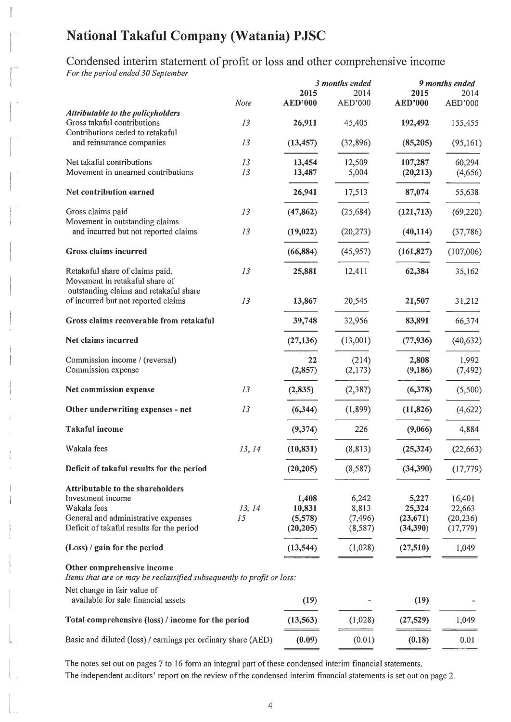Condensed interim statement of profit or loss and other comprehensive income

*For the period ended 30 September* 

 $\vert$ 

 $\begin{bmatrix} 1 & 1 \\ 1 & 1 \end{bmatrix}$ 

|                                                                                                                                                                |        |                                         | 3 months ended                        |                                          |                                            |  | 9 months ended |
|----------------------------------------------------------------------------------------------------------------------------------------------------------------|--------|-----------------------------------------|---------------------------------------|------------------------------------------|--------------------------------------------|--|----------------|
| Note                                                                                                                                                           |        | 2015<br><b>AED'000</b>                  | 2014<br>AED'000                       | 2015<br><b>AED'000</b>                   | 2014<br>AED'000                            |  |                |
| Attributable to the policyholders                                                                                                                              |        |                                         |                                       |                                          |                                            |  |                |
| Gross takaful contributions<br>13                                                                                                                              |        | 26,911                                  | 45,405                                | 192,492                                  | 155,455                                    |  |                |
| Contributions ceded to retakaful<br>13<br>and reinsurance companies                                                                                            |        | (13, 457)                               | (32, 896)                             | (85,205)                                 | (95, 161)                                  |  |                |
| Net takaful contributions<br>13                                                                                                                                |        | 13,454                                  | 12,509                                | 107,287                                  | 60,294                                     |  |                |
| Movement in unearned contributions<br>13                                                                                                                       |        | 13,487                                  | 5,004                                 | (20, 213)                                | (4,656)                                    |  |                |
| Net contribution earned                                                                                                                                        |        | 26,941                                  | 17,513                                | 87,074                                   | 55,638                                     |  |                |
| Gross claims paid<br>13                                                                                                                                        |        | (47, 862)                               | (25, 684)                             | (121, 713)                               | (69, 220)                                  |  |                |
| Movement in outstanding claims<br>and incurred but not reported claims<br>13                                                                                   |        | (19, 022)                               | (20, 273)                             | (40, 114)                                | (37,786)                                   |  |                |
| Gross claims incurred                                                                                                                                          |        | (66, 884)                               | (45, 957)                             | (161, 827)                               | (107,006)                                  |  |                |
| 13<br>Retakaful share of claims paid.<br>Movement in retakaful share of                                                                                        |        | 25,881                                  | 12,411                                | 62,384                                   | 35,162                                     |  |                |
| outstanding claims and retakaful share<br>of incurred but not reported claims<br>13                                                                            |        | 13,867                                  | 20,545                                | 21,507                                   | 31,212                                     |  |                |
| Gross claims recoverable from retakaful                                                                                                                        |        | 39,748                                  | 32,956                                | 83,891                                   | 66,374                                     |  |                |
| Net claims incurred                                                                                                                                            |        | (27, 136)                               | (13,001)                              | (77, 936)                                | (40, 632)                                  |  |                |
| Commission income / (reversal)                                                                                                                                 |        | 22                                      | (214)                                 | 2,808                                    | 1,992                                      |  |                |
| Commission expense                                                                                                                                             |        | (2, 857)                                | (2,173)                               | (9,186)                                  | (7, 492)                                   |  |                |
| 13<br>Net commission expense                                                                                                                                   |        | (2, 835)                                | (2, 387)                              | (6,378)                                  | (5,500)                                    |  |                |
| 13<br>Other underwriting expenses - net                                                                                                                        |        | (6, 344)                                | (1, 899)                              | (11, 826)                                | (4,622)                                    |  |                |
| Takaful income                                                                                                                                                 |        | (9, 374)                                | 226                                   | (9,066)                                  | 4,884                                      |  |                |
| Wakala fees                                                                                                                                                    | 13, 14 | (10, 831)                               | (8, 813)                              | (25, 324)                                | (22, 663)                                  |  |                |
| Deficit of takaful results for the period                                                                                                                      |        | (20, 205)                               | (8, 587)                              | (34,390)                                 | (17, 779)                                  |  |                |
| Attributable to the shareholders<br>Investment income<br>Wakala fees<br>General and administrative expenses<br>15<br>Deficit of takaful results for the period | 13, 14 | 1,408<br>10,831<br>(5,578)<br>(20, 205) | 6,242<br>8,813<br>(7, 496)<br>(8,587) | 5,227<br>25,324<br>(23, 671)<br>(34,390) | 16,401<br>22,663<br>(20, 236)<br>(17, 779) |  |                |
| $(Loss)$ / gain for the period                                                                                                                                 |        | (13, 544)                               | (1,028)                               | (27, 510)                                | 1,049                                      |  |                |
| Other comprehensive income<br>Items that are or may be reclassified subsequently to profit or loss:                                                            |        |                                         |                                       |                                          |                                            |  |                |
| Net change in fair value of<br>available for sale financial assets                                                                                             |        | (19)                                    |                                       | (19)                                     |                                            |  |                |
| Total comprehensive (loss) / income for the period                                                                                                             |        | (13, 563)                               | (1,028)                               | (27, 529)                                | 1,049                                      |  |                |
| Basic and diluted (loss) / earnings per ordinary share (AED)                                                                                                   |        | (0.09)                                  | (0.01)                                | (0.18)                                   | 0.01                                       |  |                |
|                                                                                                                                                                |        |                                         |                                       |                                          |                                            |  |                |

The notes set out on pages 7 to 16 form an integral part of these condensed interim financial statements. The independent auditors' report on the review of the condensed interim financial statements is set out on page 2.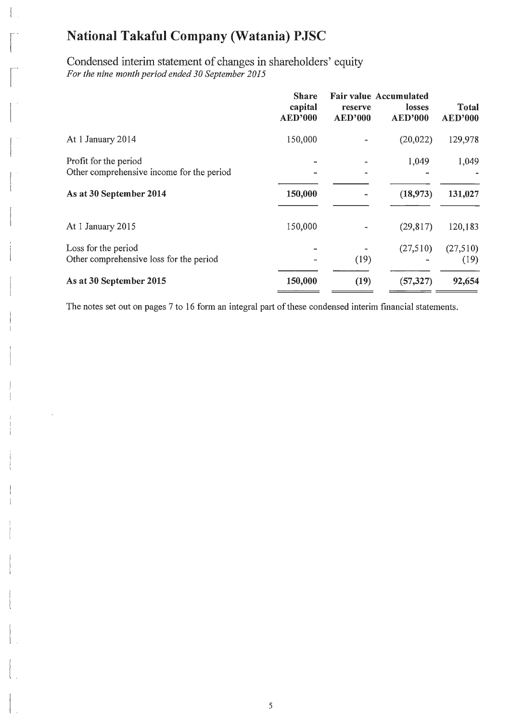$\vert$  .

 $\begin{bmatrix} 1 & 1 \\ 1 & 1 \end{bmatrix}$ 

 $\begin{bmatrix} 1 & 1 \\ 1 & 1 \end{bmatrix}$ 

 $\begin{pmatrix} 1 & 1 \\ 1 & 1 \\ 1 & 1 \end{pmatrix}$ 

 $\begin{pmatrix} 1 & 1 \\ 1 & 1 \end{pmatrix}$ 

 $\begin{array}{c} \begin{array}{c} \begin{array}{c} \begin{array}{c} \begin{array}{c} \end{array} \\ \end{array} \\ \begin{array}{c} \end{array} \end{array} \end{array} \end{array}$ 

 $\begin{bmatrix} 1 \\ 1 \end{bmatrix}$ 

L

 $\begin{array}{c} \hline \end{array}$ 

 $\begin{pmatrix} 1 & 1 \\ 1 & 1 \end{pmatrix}$ 

 $\Big|$ .

Condensed interim statement of changes in shareholders' equity *For the nine month period ended 30 September 2015* 

|                                                                    | <b>Share</b><br>capital<br><b>AED'000</b> | reserve<br><b>AED'000</b> | <b>Fair value Accumulated</b><br>losses<br><b>AED'000</b> | Total<br><b>AED'000</b> |
|--------------------------------------------------------------------|-------------------------------------------|---------------------------|-----------------------------------------------------------|-------------------------|
| At 1 January 2014                                                  | 150,000                                   |                           | (20, 022)                                                 | 129,978                 |
| Profit for the period<br>Other comprehensive income for the period |                                           |                           | 1,049                                                     | 1,049                   |
| As at 30 September 2014                                            | 150,000                                   |                           | (18,973)                                                  | 131,027                 |
| At 1 January 2015                                                  | 150,000                                   |                           | (29, 817)                                                 | 120,183                 |
| Loss for the period<br>Other comprehensive loss for the period     |                                           | (19)                      | (27,510)                                                  | (27,510)<br>(19)        |
| As at 30 September 2015                                            | 150,000                                   | (19)                      | (57, 327)                                                 | 92,654                  |

The notes set out on pages 7 to 16 form an integral part of these condensed interim financial statements.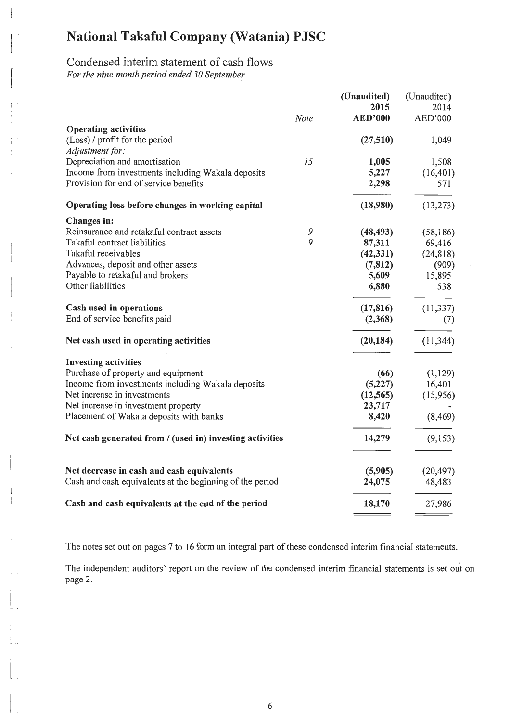# Condensed interim statement of cash flows

*For the nine month period ended 30 September* 

1 1

 $\overline{\phantom{a}}$ 

 $\begin{bmatrix} 1 & 1 \\ 1 & 1 \end{bmatrix}$ 

 $\begin{bmatrix} 1 & 1 \\ 1 & 1 \end{bmatrix}$ 

 $\begin{bmatrix} 1 \\ 1 \end{bmatrix}$ 

 $\frac{1}{2}$ 

 $\vert$ 

l

 $\begin{array}{c} \begin{array}{ccc} \text{1} & \text{1} & \text{1} & \text{1} & \text{1} & \text{1} & \text{1} & \text{1} & \text{1} & \text{1} & \text{1} & \text{1} & \text{1} & \text{1} & \text{1} & \text{1} & \text{1} & \text{1} & \text{1} & \text{1} & \text{1} & \text{1} & \text{1} & \text{1} & \text{1} & \text{1} & \text{1} & \text{1} & \text{1} & \text{1} & \text{1} & \text{1} & \text{1} & \text{1} & \text$ 

 $\begin{bmatrix} \phantom{-} \\ \phantom{-} \end{bmatrix}$ 

 $\vert$ 

 $\vert$ 

 $\begin{bmatrix} 1 & 1 \\ 1 & 1 \end{bmatrix}$ 

 $\left| \begin{array}{c} \end{array} \right|$ 

|                                                          |             | (Unaudited)    | (Unaudited) |
|----------------------------------------------------------|-------------|----------------|-------------|
|                                                          |             | 2015           | 2014        |
|                                                          | <b>Note</b> | <b>AED'000</b> | AED'000     |
| <b>Operating activities</b>                              |             |                |             |
| (Loss) / profit for the period                           |             | (27,510)       | 1,049       |
| Adjustment for:                                          |             |                |             |
| Depreciation and amortisation                            | 15          | 1,005          | 1,508       |
| Income from investments including Wakala deposits        |             | 5,227          | (16, 401)   |
| Provision for end of service benefits                    |             | 2,298          | 571         |
| Operating loss before changes in working capital         |             | (18,980)       | (13, 273)   |
| Changes in:                                              |             |                |             |
| Reinsurance and retakaful contract assets                | 9           | (48, 493)      | (58, 186)   |
| Takaful contract liabilities                             | 9           | 87,311         | 69,416      |
| Takaful receivables                                      |             | (42, 331)      | (24, 818)   |
| Advances, deposit and other assets                       |             | (7, 812)       | (909)       |
| Payable to retakaful and brokers                         |             | 5,609          | 15,895      |
| Other liabilities                                        |             | 6,880          | 538         |
| Cash used in operations                                  |             | (17, 816)      | (11, 337)   |
| End of service benefits paid                             |             | (2,368)        | (7)         |
| Net cash used in operating activities                    |             | (20, 184)      | (11, 344)   |
| <b>Investing activities</b>                              |             |                |             |
| Purchase of property and equipment                       |             | (66)           | (1,129)     |
| Income from investments including Wakala deposits        |             | (5,227)        | 16,401      |
| Net increase in investments                              |             | (12, 565)      | (15,956)    |
| Net increase in investment property                      |             | 23,717         |             |
| Placement of Wakala deposits with banks                  |             | 8,420          | (8, 469)    |
| Net cash generated from / (used in) investing activities |             | 14,279         | (9,153)     |
| Net decrease in cash and cash equivalents                |             | (5,905)        | (20, 497)   |
| Cash and cash equivalents at the beginning of the period |             | 24,075         | 48,483      |
| Cash and cash equivalents at the end of the period       |             | 18,170         | 27,986      |

The notes set out on pages 7 to 16 form an integral part of these condensed interim financial statements.

The independent auditors' report on the review of the condensed interim financial statements is set out on page 2.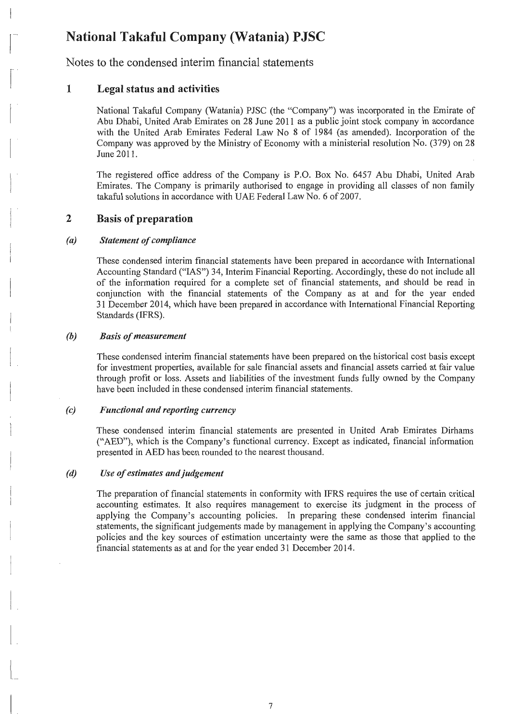Notes to the condensed interim financial statements

#### 1 Legal status and activities

 $\mathbf{I}$ 

 $\begin{bmatrix} 1 & 1 \\ 1 & 1 \end{bmatrix}$ 

 $\begin{bmatrix} 1 & 1 \\ 1 & 1 \end{bmatrix}$ 

 $\begin{bmatrix} \phantom{-} \end{bmatrix}$ 

 $\begin{bmatrix} 1 & 1 \\ 1 & 1 \end{bmatrix}$ 

 $\mathbb{R}^n$ 

l\_

 $\Bigg\vert$ .

l.<br>...

 $\vert$ 

National Takaful Company (Watania) PJSC (the "Company") was incorporated in the Emirate of Abu Dhabi, United Arab Emirates on 28 June 2011 as a public joint stock company in accordance with the United Arab Emirates Federal Law No 8 of 1984 (as amended). Incorporation of the Company was approved by the Ministry of Economy with a ministerial resolution No. (379) on 28 June 2011.

The registered office address of the Company is P.O. Box No. 6457 Abu Dhabi, United Arab Emirates. The Company is primarily authorised to engage in providing all classes of non family takaful solutions in accordance with UAE Federal Law No. 6 of 2007.

#### 2 Basis of preparation

#### *(a) Statement of compliance*

These condensed interim financial statements have been prepared in accordance with International Accounting Standard ("IAS") 34, Interim Financial Reporting. Accordingly, these do not include all of the information required for a complete set of financial statements, and should be read in conjunction with the financial statements of the Company as at and for the year ended 31 December 2014, which have been prepared in accordance with International Financial Reporting Standards (IFRS).

#### *(b) Basis of measurement*

These condensed interim financial statements have been prepared on the historical cost basis except for investment properties, available for sale financial assets and financial assets carried at fair value through profit or loss. Assets and liabilities of the investment funds fully owned by the Company have been included in these condensed interim financial statements.

#### *(c) Functional and reporting currency*

These condensed interim financial statements are presented in United Arab Emirates Dirhams ("AED"), which is the Company's functional currency. Except as indicated, financial information presented in AED has been rounded to the nearest thousand.

#### *(d) Use of estimates and judgement*

The preparation of financial statements in conformity with IFRS requires the use of certain critical accounting estimates. It also requires management to exercise its judgment in the process of applying the Company's accounting policies. In preparing these condensed interim financial statements, the significant judgements made by management in applying the Company's accounting policjes and the key sources of estimation uncertainty were the same as those that applied to the financial statements as at and for the year ended 31 December 2014.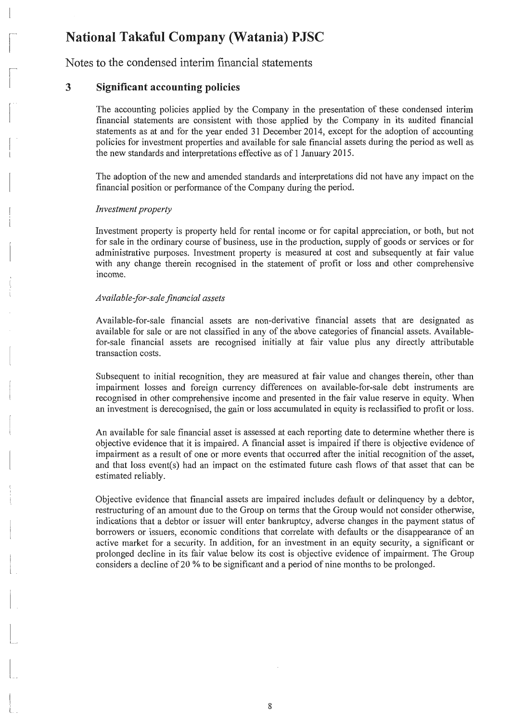Notes to the condensed interim financial statements

### **3 Significant accounting policies**

 $\vert$ 

 $\sqrt{a}$ 

 $\sqrt{2}$ 

 $\begin{bmatrix} 1 & 1 \\ 1 & 1 \end{bmatrix}$ 

 $\begin{bmatrix} \phantom{-} \end{bmatrix}$ 

t<br>Lista este

 $\begin{bmatrix} \phantom{-} \end{bmatrix}$ 

 $\begin{bmatrix} \phantom{-} & \phantom{-} \\ \phantom{-} & \phantom{-} \\ \phantom{-} & \phantom{-} \end{bmatrix}$ 

 $\begin{bmatrix} \phantom{-} & \phantom{-} \\ \phantom{-} & \phantom{-} \end{bmatrix}$ 

 $\begin{array}{c}\n\frac{1}{2} \\
\frac{1}{2} \\
\frac{1}{2}\n\end{array}$ 

 $\begin{bmatrix} \phantom{-} & \phantom{-} \\ \phantom{-} & \phantom{-} \\ \phantom{-} & \phantom{-} \end{bmatrix}$ 

 $\left| \begin{array}{c} \frac{1}{2} & \frac{1}{2} \\ \frac{1}{2} & \frac{1}{2} \end{array} \right|$ 

 $\begin{bmatrix} 1 & 1 \\ 1 & 1 \end{bmatrix}$ 

 $\begin{bmatrix} 1 & 1 \\ 1 & 1 \end{bmatrix}$ 

The accounting policies applied by the Company in the presentation of these condensed interim financial statements are consistent with those applied by the Company in its audited financial statements as at and for the year ended 31 December 2014, except for the adoption of accounting policies for investment properties and available for sale financial assets during the period as well as the new standards and interpretations effective as of 1 January 2015.

The adoption of the new and amended standards and interpretations did not have any impact on the financial position or performance of the Company during the period.

### *Investment property*

Investment property is property held for rental income or for capital appreciation, or both, but not for sale in the ordinary course of business, use in the production, supply of goods or services or for administrative purposes. Investment property is measured at cost and subsequently at fair value with any change therein recognised in the statement of profit or loss and other comprehensive income.

### *Available-for-sale financial assets*

Available-for-sale financial assets are non-derivative financial assets that are designated as available for sale or are not classified in any of the above categories of financial assets. Availablefor-sale financial assets are recognised initially at fair value plus any directly attributable transaction costs.

Subsequent to initial recognition, they are measured at fair value and changes therein, other than impairment losses and foreign currency differences on available-for-sale debt instruments are recognised in other comprehensive income and presented in the fair value reserve in equity. When an investment is derecognised, the gain or loss accumulated in equity is reclassified to profit or loss.

An available for sale financial asset is assessed at each reporting date to determine whether there is objective evidence that it is impaired. A financial asset is impaired if there is objective evidence of impairment as a result of one or more events that occurred after the initial recognition of the asset, and that loss event(s) had an impact on the estimated future cash flows of that asset that can be estimated reliably.

Objective evidence that financial assets are impaired includes default or delinquency by a debtor, restructuring of an amount due to the Group on terms that the Group would not consider otherwise, indications that a debtor or issuer will enter bankruptcy, adverse changes in the payment status of borrowers or issuers, economic conditions that correlate with defaults or the disappearance of an active market for a security. In addition, for an investment in an equity security, a significant or prolonged decline in its fair value below its cost is objective evidence of impairment. The Group considers a decline of20 % to be significant and a period of nine months to be prolonged.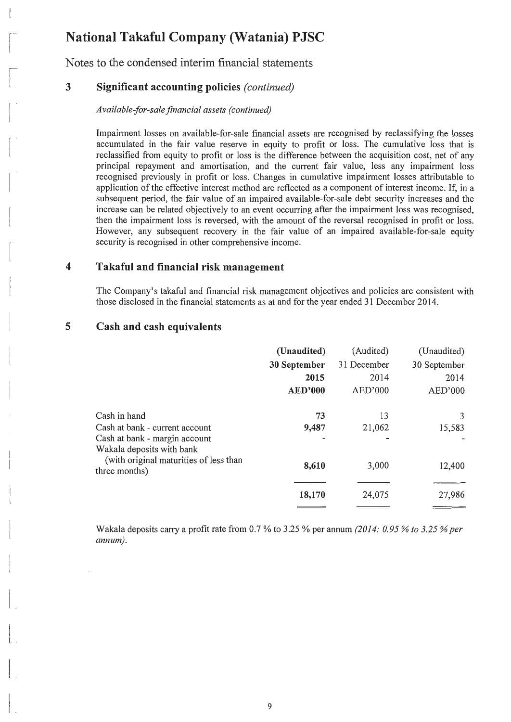Notes to the condensed interim financial statements

#### 3 Significant accounting policies *(continued)*

 $\lfloor$ 

 $\begin{bmatrix} 1 & 1 \\ 1 & 1 \end{bmatrix}$ 

 $\sqrt{2}$ 

 $\vert$ 

 $\begin{bmatrix} 1 & 1 \\ 1 & 1 \end{bmatrix}$ 

 $\begin{bmatrix} \phantom{-} \end{bmatrix}$ 

--,

l

 $\begin{array}{c} \begin{array}{c} \begin{array}{c} \begin{array}{c} \end{array} \\ \end{array} \end{array} \end{array} \end{array}$ 

 $\begin{array}{c} \begin{array}{c} \begin{array}{c} \begin{array}{c} \begin{array}{c} \end{array} \\ \end{array} \\ \begin{array}{c} \end{array} \end{array} \end{array} \end{array} \end{array}$ 

 $\vert$ 

 $\begin{bmatrix} \phantom{-} \\ \phantom{-} \\ \phantom{-} \end{bmatrix}$ 

 $\begin{bmatrix} \phantom{-} \\ \phantom{-} \end{bmatrix}$ 

 $\begin{bmatrix} 1 & 1 \\ 1 & 1 \end{bmatrix}$ 

 $\begin{bmatrix} 1 & 1 \\ 1 & 1 \end{bmatrix}$ 

 $\vert$ .

*Available-for-sale financial assets (continued)* 

Impairment losses on available-for-sale financial assets are recognised by reclassifying the losses accumulated in the fair value reserve in equity to profit or loss. The cumulative loss that is reclassified from equity to profit or loss is the difference between the acquisition cost, net of any principal repayment and amortisation, and the current fair value, less any impairment loss recognised previously in profit or loss. Changes in cumulative impairment losses attributable to application of the effective interest method are reflected as a component of interest income. If, in a subsequent period, the fair value of an impaired available-for-sale debt security increases and the increase can be related objectively to an event occurring after the impairment loss was recognised, then the impairment loss is reversed, with the amount of the reversal recognised in profit or loss. However, any subsequent recovery in the fair value of an impaired available-for-sale equity security is recognised in other comprehensive income.

#### 4 Takaful and financial risk management

The Company's takaful and financial risk management objectives and policies are consistent with those disclosed in the financial statements as at and for the year ended 31 December 2014.

#### 5 Cash and cash equivalents

|                                                                                       | (Unaudited)    | (Audited)   | (Unaudited)  |
|---------------------------------------------------------------------------------------|----------------|-------------|--------------|
|                                                                                       | 30 September   | 31 December | 30 September |
|                                                                                       | 2015           | 2014        | 2014         |
|                                                                                       | <b>AED'000</b> | AED'000     | AED'000      |
| Cash in hand                                                                          | 73             | 13          | 3            |
| Cash at bank - current account                                                        | 9,487          | 21,062      | 15,583       |
| Cash at bank - margin account                                                         |                |             |              |
| Wakala deposits with bank<br>(with original maturities of less than)<br>three months) | 8,610          | 3,000       | 12,400       |
|                                                                                       | 18,170         | 24,075      | 27,986       |

Wakala deposits carry a profit rate from 0.7 % to 3.25 % per annum *(2014: 0.95* % *to 3.25* % *per annum).*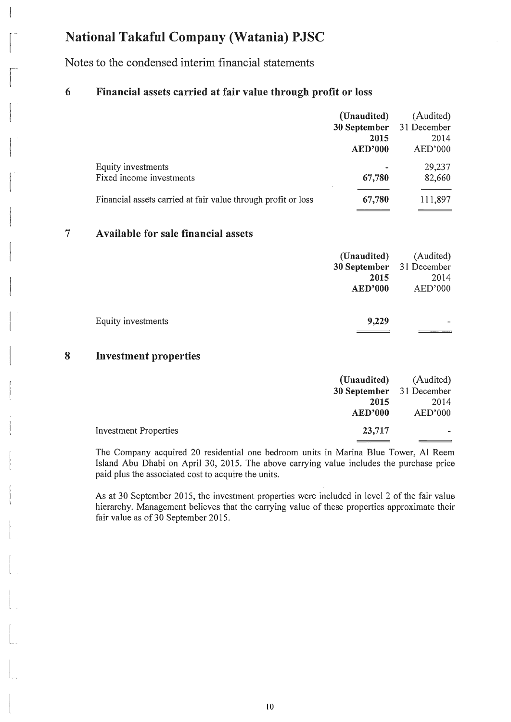$\vert$ 

 $\begin{bmatrix} 1 & 1 \\ 1 & 1 \end{bmatrix}$ 

 $\sqrt{2}$ 

 $\vert$ 

 $\begin{pmatrix} 1 & 1 \\ 1 & 1 \end{pmatrix}$ 

 $\overline{\phantom{a}}$ 

 $\begin{array}{c} \hline \end{array}$ 

 $\vert$ 

D

 $\mathcal{L}$ 

 $\mathcal{I}_{\mathcal{A}}$ 

 $\begin{bmatrix} 1 & 1 \\ 1 & 1 \end{bmatrix}$ 

u

 $\begin{bmatrix} 1 & 1 \\ 1 & 1 \end{bmatrix}$ 

 $\Big|$ 

 $\vert$  .

 $\begin{bmatrix} 1 & 1 \\ 1 & 1 \end{bmatrix}$ 

 $\begin{bmatrix} 1 & 1 \\ 1 & 1 \end{bmatrix}$ 

 $\lfloor - \rfloor$ 

Notes to the condensed interim financial statements

#### 6 Financial assets carried at fair value through profit or loss

|                                                               | (Unaudited)<br>30 September | (Audited)<br>31 December |
|---------------------------------------------------------------|-----------------------------|--------------------------|
|                                                               | 2015                        | 2014                     |
|                                                               | <b>AED'000</b>              | AED'000                  |
| Equity investments                                            |                             | 29,237                   |
| Fixed income investments                                      | 67,780                      | 82,660                   |
| Financial assets carried at fair value through profit or loss | 67,780                      | 111,897                  |

#### 7 Available for sale financial assets

| (Unaudited)              | (Audited) |
|--------------------------|-----------|
| 30 September 31 December |           |
| 2015                     | 2014      |
| <b>AED'000</b>           | AED'000   |
|                          |           |
| 9,229                    |           |
|                          |           |

#### 8 Investment properties

|                              | (Unaudited)              | (Audited) |
|------------------------------|--------------------------|-----------|
|                              | 30 September 31 December |           |
|                              | 2015                     | 2014      |
|                              | <b>AED'000</b>           | AED'000   |
| <b>Investment Properties</b> | 23,717                   |           |
|                              |                          |           |

The Company acquired 20 residential one bedroom units in Marina Blue Tower, Al Reem Island Abu Dhabi on April 30, 2015. The above carrying value includes the purchase price paid plus the associated cost to acquire the units.

As at 30 September 2015, the investment properties were included in level 2 of the fair value hierarchy. Management believes that the carrying value of these properties approximate their fair value as of 30 September 2015.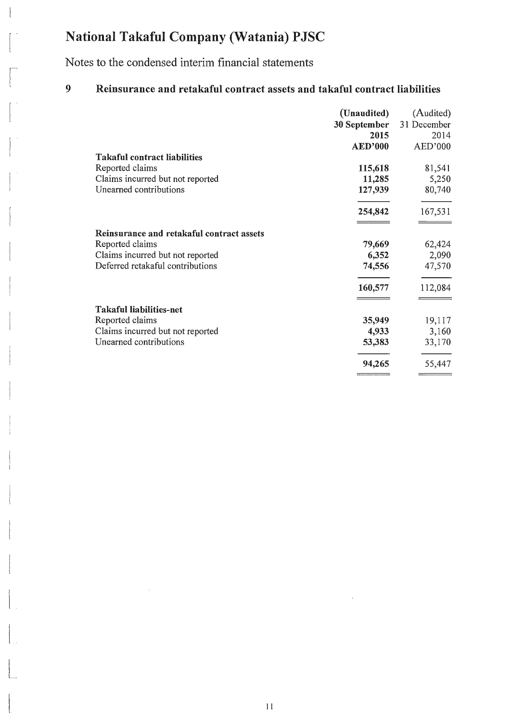Notes to the condensed interim financial statements

 $\vert$ 

 $\begin{bmatrix} 1 & 1 \\ 1 & 1 \end{bmatrix}$ 

 $\begin{bmatrix} 1 & 1 \\ 1 & 1 \end{bmatrix}$ 

 $\begin{bmatrix} 1 & 1 \\ 1 & 1 \end{bmatrix}$ 

 $\vert$ 

 $\begin{pmatrix} 1 & 1 \\ 1 & 1 \end{pmatrix}$ 

c

 $\begin{bmatrix} 1 \\ 1 \end{bmatrix}$ 

 $\begin{bmatrix} \phantom{-} \end{bmatrix}$ 

 $\begin{bmatrix} \phantom{-} \end{bmatrix}$ 

 $\begin{bmatrix} \phantom{-} \end{bmatrix}$ 

 $\begin{bmatrix} \phantom{-} \end{bmatrix}$ 

 $\begin{bmatrix} 1 & 0 \\ 0 & 1 \end{bmatrix}$ 

 $\begin{bmatrix} \phantom{-} \\ \phantom{-} \end{bmatrix}$ 

 $\begin{array}{c} \begin{array}{ccc} \end{array} & \end{array}$ 

 $\begin{bmatrix} 1 & 1 \\ 1 & 1 \end{bmatrix}$ 

 $\begin{bmatrix} 1 & 1 \\ 1 & 1 \\ 1 & 1 \end{bmatrix}$ 

 $\begin{bmatrix} 1 & 1 \\ 1 & 1 \end{bmatrix}$ 

 $\begin{bmatrix} 1 & 1 \\ 1 & 1 \end{bmatrix}$ 

### 9 Reinsurance and retakaful contract assets and takaful contract liabilities

|                                           | (Unaudited)    | (Audited)   |
|-------------------------------------------|----------------|-------------|
|                                           | 30 September   | 31 December |
|                                           | 2015           | 2014        |
|                                           | <b>AED'000</b> | AED'000     |
| <b>Takaful contract liabilities</b>       |                |             |
| Reported claims                           | 115,618        | 81,541      |
| Claims incurred but not reported          | 11,285         | 5,250       |
| Unearned contributions                    | 127,939        | 80,740      |
|                                           | 254,842        | 167,531     |
| Reinsurance and retakaful contract assets |                |             |
| Reported claims                           | 79,669         | 62,424      |
| Claims incurred but not reported          | 6,352          | 2,090       |
| Deferred retakaful contributions          | 74,556         | 47,570      |
|                                           | 160,577        | 112,084     |
| <b>Takaful liabilities-net</b>            |                |             |
| Reported claims                           | 35,949         | 19,117      |
| Claims incurred but not reported          | 4,933          | 3,160       |
| Unearned contributions                    | 53,383         | 33,170      |
|                                           | 94,265         | 55,447      |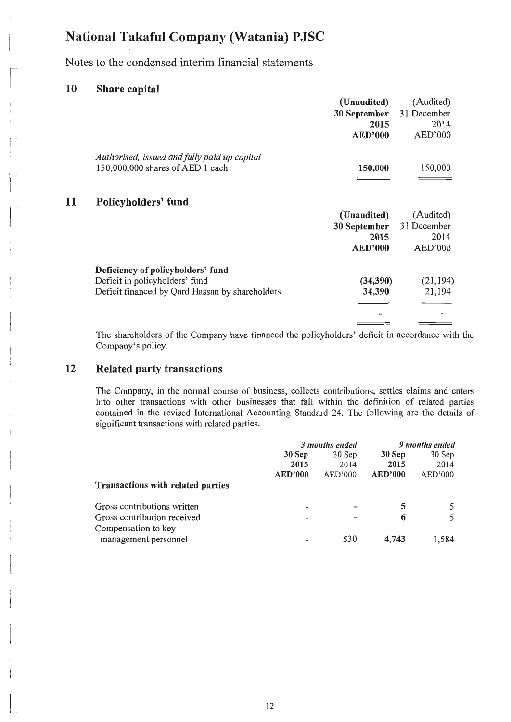Notes to the condensed interim financial statements

#### 10 Share capital

 $\vert$ 

 $\begin{bmatrix} 1 & 1 \\ 1 & 1 \end{bmatrix}$ 

 $\sqrt{2}$ 

 $\begin{pmatrix} 1 & 1 \\ 1 & 1 \end{pmatrix}$ 

 $\begin{bmatrix} 1 & 1 \\ 1 & 1 \end{bmatrix}$ 

 $\begin{bmatrix} \cdot & \cdot & \cdot \\ \cdot & \cdot & \cdot \\ \cdot & \cdot & \cdot \end{bmatrix}$ 

11

 $\overline{\phantom{a}}$ 

 $\overline{\phantom{a}}$ 

l

 $\vert$ 

 $\frac{1}{1}$ 

 $\begin{array}{c} \begin{array}{ccc} \end{array} \end{array}$ 

 $\begin{array}{c} \begin{array}{ccc} \end{array} & \end{array}$ 

 $\overline{\mathcal{L}}$ 

 $\begin{bmatrix} \phantom{-} \end{bmatrix}$ 

 $\vert$ 

 $\vert$ 

 $\begin{bmatrix} 1 & 1 \\ 1 & 1 \end{bmatrix}$ 

 $\vert$ 

|                                                                                  | (Unaudited)<br>30 September | (Audited)<br>31 December |
|----------------------------------------------------------------------------------|-----------------------------|--------------------------|
|                                                                                  | 2015<br><b>AED'000</b>      | 2014<br>AED'000          |
| Authorised, issued and fully paid up capital<br>150,000,000 shares of AED 1 each | 150,000                     | 150,000                  |
| Policyholders' fund                                                              |                             |                          |
|                                                                                  | (Unaudited)                 | (Audited)                |
|                                                                                  | 30 September                | 31 December              |
|                                                                                  | 2015                        | 2014                     |
|                                                                                  | <b>AED'000</b>              | AED'000                  |
| Deficiency of policyholders' fund                                                |                             |                          |
| Deficit in policyholders' fund                                                   | (34,390)                    | (21, 194)                |
| Deficit financed by Qard Hassan by shareholders                                  | 34,390                      | 21,194                   |
|                                                                                  |                             |                          |
|                                                                                  |                             |                          |
|                                                                                  |                             |                          |

The shareholders of the Company have financed the policyholders' deficit in accordance with the Company's policy.

#### 12 Related party transactions

The Company, in the normal course of business, collects contributions, settles claims and enters into other transactions with other businesses that fall within the definition of related parties contained in the revised International Accounting Standard 24. The following are the details of significant transactions with related parties.

|                                             | 3 months ended |         |         | 9 months ended |
|---------------------------------------------|----------------|---------|---------|----------------|
|                                             | 30 Sep         | 30 Sep  | 30 Sep  | 30 Sep         |
|                                             | 2015           | 2014    | 2015    | 2014           |
|                                             | <b>AED'000</b> | AED'000 | AED'000 | AED'000        |
| <b>Transactions with related parties</b>    |                |         |         |                |
| Gross contributions written                 |                |         | 5       |                |
| Gross contribution received                 |                |         | 6       |                |
| Compensation to key<br>management personnel |                | 530     | 4,743   | 1.584          |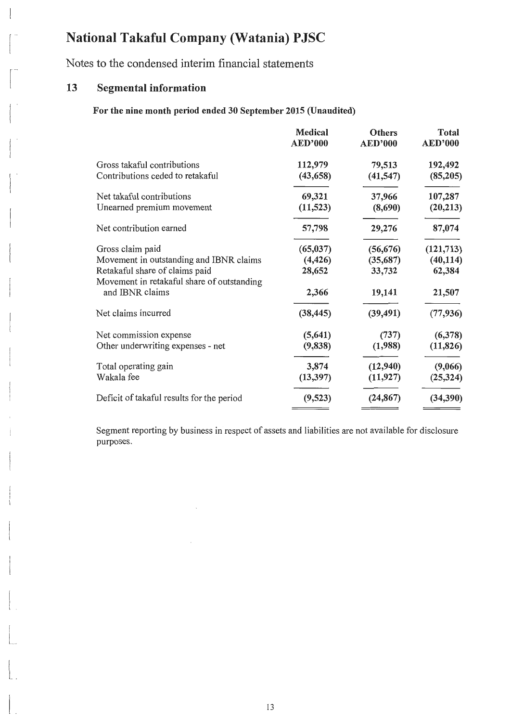Notes to the condensed interim financial statements

### 13 Segmental information

 $\vert$ 

 $\begin{bmatrix} 1 \\ 1 \end{bmatrix}$ 

 $\begin{bmatrix} 1 \\ 1 \\ 1 \\ 1 \end{bmatrix}$ 

 $\begin{bmatrix} 1 & 1 \\ 1 & 1 \end{bmatrix}$ 

 $\begin{bmatrix} 1 & 1 \\ 1 & 1 \end{bmatrix}$ 

 $\overline{a}$ 

 $\vert$ 

 $\overline{\phantom{a}}$ 

 $\vert$ 

 $\begin{bmatrix} \phantom{-} \\ \phantom{-} \end{bmatrix}$ 

 $\begin{bmatrix} \cdot & \cdot & \cdot \\ \cdot & \cdot & \cdot \end{bmatrix}$ 

 $\vert$ .

### For the nine month period ended 30 September 2015 (Unaudited)

|                                                                              | Medical<br><b>AED'000</b> | <b>Others</b><br><b>AED'000</b> | <b>Total</b><br><b>AED'000</b> |
|------------------------------------------------------------------------------|---------------------------|---------------------------------|--------------------------------|
| Gross takaful contributions                                                  | 112,979                   | 79,513                          | 192,492                        |
| Contributions ceded to retakaful                                             | (43, 658)                 | (41, 547)                       | (85,205)                       |
| Net takaful contributions                                                    | 69,321                    | 37,966                          | 107,287                        |
| Unearned premium movement                                                    | (11, 523)                 | (8,690)                         | (20, 213)                      |
| Net contribution earned                                                      | 57,798                    | 29,276                          | 87,074                         |
| Gross claim paid                                                             | (65, 037)                 | (56, 676)                       | (121, 713)                     |
| Movement in outstanding and IBNR claims                                      | (4, 426)                  | (35,687)                        | (40, 114)                      |
| Retakaful share of claims paid<br>Movement in retakaful share of outstanding | 28,652                    | 33,732                          | 62,384                         |
| and IBNR claims                                                              | 2,366                     | 19,141                          | 21,507                         |
| Net claims incurred                                                          | (38, 445)                 | (39, 491)                       | (77, 936)                      |
| Net commission expense                                                       | (5, 641)                  | (737)                           | (6,378)                        |
| Other underwriting expenses - net                                            | (9, 838)                  | (1,988)                         | (11, 826)                      |
| Total operating gain                                                         | 3,874                     | (12,940)                        | (9,066)                        |
| Wakala fee                                                                   | (13, 397)                 | (11, 927)                       | (25, 324)                      |
| Deficit of takaful results for the period                                    | (9,523)                   | (24, 867)                       | (34, 390)                      |

Segment reporting by business in respect of assets and liabilities are not available for disclosure purposes.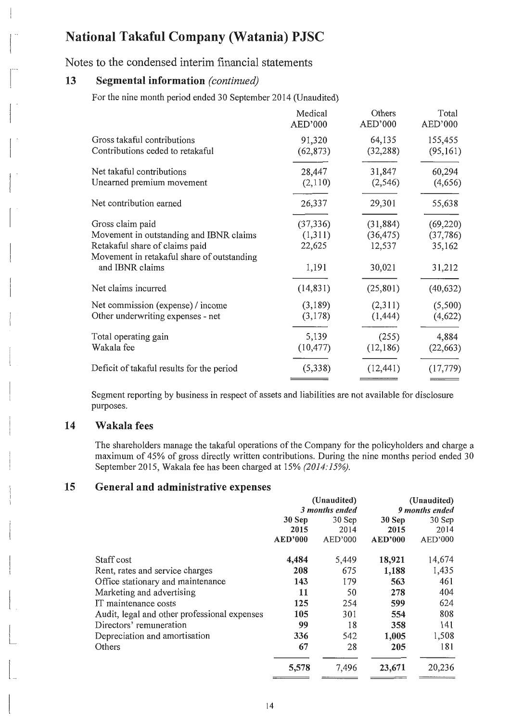Notes to the condensed interim financial statements

### n 13 Segmental information *(continued)*

 $\vert$ 

For the nine month period ended 30 September 2014 (Unaudited)

|                                            | Medical<br>AED'000 | Others<br>AED'000 | Total<br>AED'000 |
|--------------------------------------------|--------------------|-------------------|------------------|
| Gross takaful contributions                | 91,320             | 64,135            | 155,455          |
| Contributions ceded to retakaful           | (62, 873)          | (32, 288)         | (95,161)         |
| Net takaful contributions                  | 28,447             | 31,847            | 60,294           |
| Unearned premium movement                  | (2,110)            | (2, 546)          | (4,656)          |
| Net contribution earned                    | 26,337             | 29,301            | 55,638           |
| Gross claim paid                           | (37, 336)          | (31, 884)         | (69, 220)        |
| Movement in outstanding and IBNR claims    | (1,311)            | (36, 475)         | (37, 786)        |
| Retakaful share of claims paid             | 22,625             | 12,537            | 35,162           |
| Movement in retakaful share of outstanding |                    |                   |                  |
| and IBNR claims                            | 1,191              | 30,021            | 31,212           |
| Net claims incurred                        | (14, 831)          | (25, 801)         | (40, 632)        |
| Net commission (expense) / income          | (3,189)            | (2,311)           | (5,500)          |
| Other underwriting expenses - net          | (3,178)            | (1, 444)          | (4,622)          |
| Total operating gain                       | 5,139              | (255)             | 4,884            |
| Wakala fee                                 | (10, 477)          | (12, 186)         | (22, 663)        |
| Deficit of takaful results for the period  | (5,338)            | (12, 441)         | (17, 779)        |
|                                            |                    |                   |                  |

Segment reporting by business in respect of assets and liabilities are not available for disclosure purposes.

### 14 Wakala fees

The shareholders manage the takaful operations of the Company for the policyholders and charge a maximum of 45% of gross directly written contributions. During the nine months period ended 30 September 2015, Wakala fee has been charged at 15% *(2014:15%).* 

### 15 General and administrative expenses

|                                              | (Unaudited)    |         | (Unaudited)    |         |
|----------------------------------------------|----------------|---------|----------------|---------|
|                                              | 3 months ended |         | 9 months ended |         |
|                                              | $30$ Sep       | 30 Sep  | 30 Sep         | 30 Sep  |
|                                              | 2015           | 2014    | 2015           | 2014    |
|                                              | <b>AED'000</b> | AED'000 | <b>AED'000</b> | AED'000 |
| Staff cost                                   | 4,484          | 5,449   | 18,921         | 14,674  |
| Rent, rates and service charges              | 208            | 675     | 1,188          | 1,435   |
| Office stationary and maintenance            | 143            | 179     | 563            | 461     |
| Marketing and advertising                    | 11             | 50      | 278            | 404     |
| IT maintenance costs                         | 125            | 254     | 599            | 624     |
| Audit, legal and other professional expenses | 105            | 301     | 554            | 808     |
| Directors' remuneration                      | 99             | 18      | 358            | 141     |
| Depreciation and amortisation                | 336            | 542     | 1,005          | 1,508   |
| Others                                       | 67             | 28      | 205            | 181     |
|                                              | 5,578          | 7,496   | 23,671         | 20,236  |
|                                              |                |         |                |         |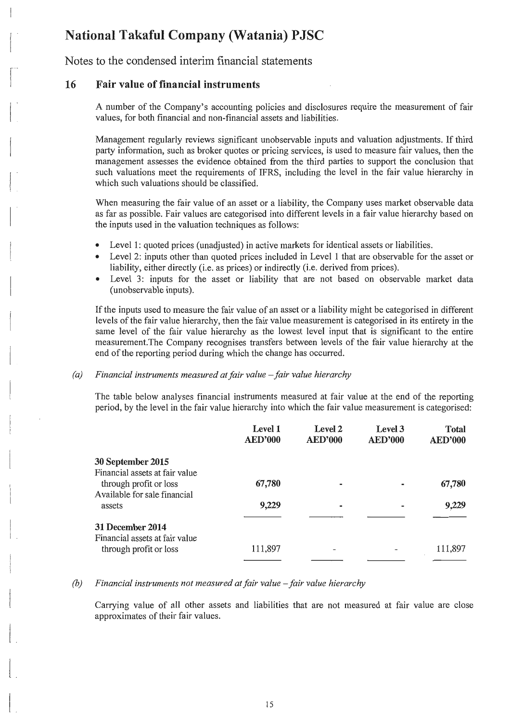Notes to the condensed interim financial statements

#### 16 Fair value of financial instruments

 $\vert$ 

 $\begin{bmatrix} 1 & 1 \\ 1 & 1 \end{bmatrix}$ 

 $\begin{bmatrix} 1 & 1 \\ 1 & 1 \end{bmatrix}$ 

 $\begin{bmatrix} 1 \\ 1 \end{bmatrix}$ 

 $\begin{bmatrix} 1 & 1 \\ 1 & 1 \end{bmatrix}$ 

 $\begin{bmatrix} \phantom{-} & \phantom{-} \\ \phantom{-} & \phantom{-} \\ \phantom{-} & \phantom{-} \end{bmatrix}$ 

 $\left| \right|$ 

 $\begin{bmatrix} \phantom{-} & \phantom{-} \\ \phantom{-} & \phantom{-} \end{bmatrix}$ 

 $\begin{bmatrix} \frac{1}{2} & \frac{1}{2} \\ \frac{1}{2} & \frac{1}{2} \end{bmatrix}$ 

 $\begin{bmatrix} \phantom{-} & \phantom{-} \\ \phantom{-} & \phantom{-} \end{bmatrix}$ 

 $\vert$ 

 $\left| \begin{array}{c} \frac{1}{2} & \frac{1}{2} \\ \frac{1}{2} & \frac{1}{2} \end{array} \right|$ 

 $\begin{array}{c} \begin{array}{ccc} \text{1} & \text{1} & \text{1} & \text{1} & \text{1} & \text{1} & \text{1} & \text{1} & \text{1} & \text{1} & \text{1} & \text{1} & \text{1} & \text{1} & \text{1} & \text{1} & \text{1} & \text{1} & \text{1} & \text{1} & \text{1} & \text{1} & \text{1} & \text{1} & \text{1} & \text{1} & \text{1} & \text{1} & \text{1} & \text{1} & \text{1} & \text{1} & \text{1} & \text{1} & \text$ 

 $\begin{bmatrix} 1 & 1 \\ 1 & 1 \end{bmatrix}$ 

 $\mathsf{L}$ 

A number of the Company's accounting policies and disclosures require the measurement of fair values, for both financial and non-financial assets and liabilities.

Management regularly reviews significant unobservable inputs and valuation adjustments. If third party information, such as broker quotes or pricing services, is used to measure fair values, then the management assesses the evidence obtained from the third parties to support the conclusion that such valuations meet the requirements of IFRS, including the level in the fair value hierarchy in which such valuations should be classified.

When measuring the fair value of an asset or a liability, the Company uses market observable data as far as possible. Fair values are categorised into different levels in a fair value hierarchy based on the inputs used in the valuation techniques as follows:

- Level 1: quoted prices (unadjusted) in active markets for identical assets or liabilities.
- Level 2: inputs other than quoted prices included in Level 1 that are observable for the asset or liability, either directly (i.e. as prices) or indirectly (i.e. derived from prices).
- Level 3: inputs for the asset or liability that are not based on observable market data (unobservable inputs).

If the inputs used to measure the fair value of an asset or a liability might be categorised in different levels of the fair value hierarchy, then the fair value measurement is categorised in its entirety in the same level of the fair value hierarchy as the lowest level input that is significant to the entire measurement.The Company recognises transfers between levels of the fair value hierarchy at the end of the reporting period during which the change has occurred.

#### *(a) Financial instruments measured at fair value - fair value hierarchy*

The table below analyses financial instruments measured at fair value at the end of the reporting period, by the level in the fair value hierarchy into which the fair value measurement is categorised:

|                                                                                          | Level 1<br><b>AED'000</b> | Level 2<br><b>AED'000</b> | Level 3<br><b>AED'000</b> | <b>Total</b><br><b>AED'000</b> |
|------------------------------------------------------------------------------------------|---------------------------|---------------------------|---------------------------|--------------------------------|
| 30 September 2015                                                                        |                           |                           |                           |                                |
| Financial assets at fair value<br>through profit or loss<br>Available for sale financial | 67,780                    |                           |                           | 67,780                         |
| assets                                                                                   | 9,229                     | $\blacksquare$            |                           | 9,229                          |
| 31 December 2014                                                                         |                           |                           |                           |                                |
| Financial assets at fair value<br>through profit or loss                                 | 111,897                   |                           |                           | 111,897                        |

#### *(b) Financial instruments not measured at fair value – fair value hierarchy*

Carrying value of all other assets and liabilities that are not measured at fair value are close approximates of their fair values.